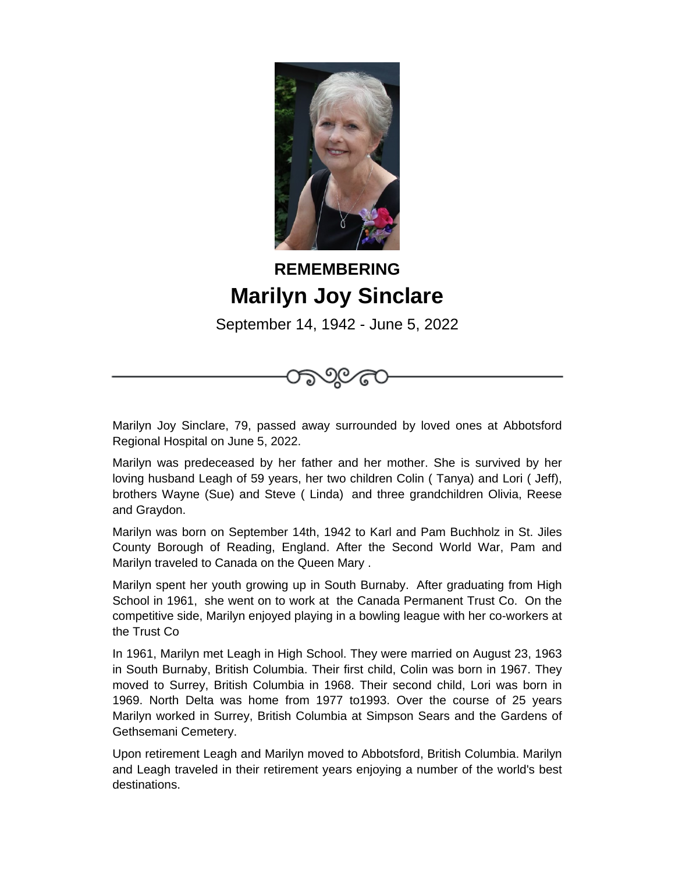

## **REMEMBERING Marilyn Joy Sinclare**

September 14, 1942 - June 5, 2022



Marilyn was predeceased by her father and her mother. She is survived by her loving husband Leagh of 59 years, her two children Colin ( Tanya) and Lori ( Jeff), brothers Wayne (Sue) and Steve ( Linda) and three grandchildren Olivia, Reese and Graydon.

Marilyn was born on September 14th, 1942 to Karl and Pam Buchholz in St. Jiles County Borough of Reading, England. After the Second World War, Pam and Marilyn traveled to Canada on the Queen Mary .

Marilyn spent her youth growing up in South Burnaby. After graduating from High School in 1961, she went on to work at the Canada Permanent Trust Co. On the competitive side, Marilyn enjoyed playing in a bowling league with her co-workers at the Trust Co

In 1961, Marilyn met Leagh in High School. They were married on August 23, 1963 in South Burnaby, British Columbia. Their first child, Colin was born in 1967. They moved to Surrey, British Columbia in 1968. Their second child, Lori was born in 1969. North Delta was home from 1977 to1993. Over the course of 25 years Marilyn worked in Surrey, British Columbia at Simpson Sears and the Gardens of Gethsemani Cemetery.

Upon retirement Leagh and Marilyn moved to Abbotsford, British Columbia. Marilyn and Leagh traveled in their retirement years enjoying a number of the world's best destinations.